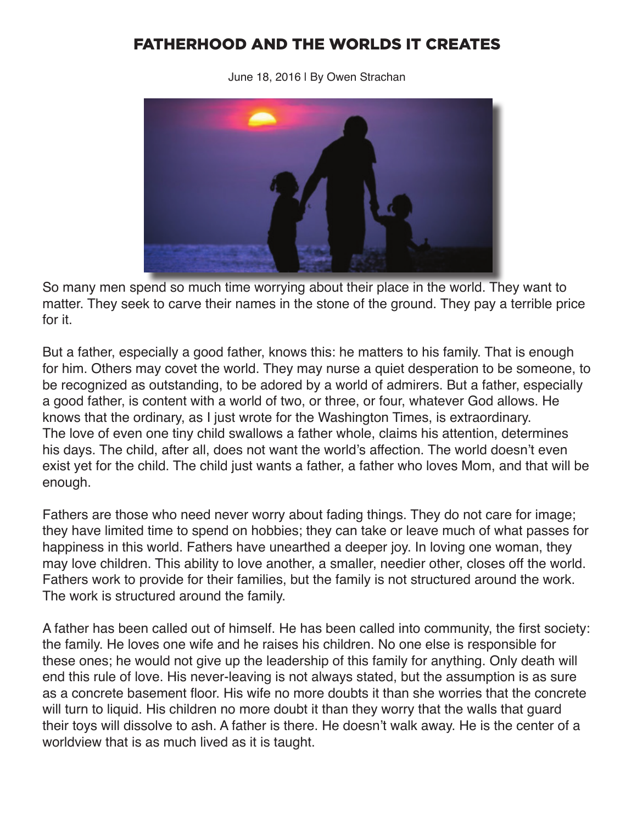## FATHERHOOD AND THE WORLDS IT CREATES

June 18, 2016 | By Owen Strachan



So many men spend so much time worrying about their place in the world. They want to matter. They seek to carve their names in the stone of the ground. They pay a terrible price for it.

But a father, especially a good father, knows this: he matters to his family. That is enough for him. Others may covet the world. They may nurse a quiet desperation to be someone, to be recognized as outstanding, to be adored by a world of admirers. But a father, especially a good father, is content with a world of two, or three, or four, whatever God allows. He knows that the ordinary, as I just wrote for the Washington Times, is extraordinary. The love of even one tiny child swallows a father whole, claims his attention, determines his days. The child, after all, does not want the world's affection. The world doesn't even exist yet for the child. The child just wants a father, a father who loves Mom, and that will be enough.

Fathers are those who need never worry about fading things. They do not care for image; they have limited time to spend on hobbies; they can take or leave much of what passes for happiness in this world. Fathers have unearthed a deeper joy. In loving one woman, they may love children. This ability to love another, a smaller, needier other, closes off the world. Fathers work to provide for their families, but the family is not structured around the work. The work is structured around the family.

A father has been called out of himself. He has been called into community, the first society: the family. He loves one wife and he raises his children. No one else is responsible for these ones; he would not give up the leadership of this family for anything. Only death will end this rule of love. His never-leaving is not always stated, but the assumption is as sure as a concrete basement floor. His wife no more doubts it than she worries that the concrete will turn to liquid. His children no more doubt it than they worry that the walls that guard their toys will dissolve to ash. A father is there. He doesn't walk away. He is the center of a worldview that is as much lived as it is taught.